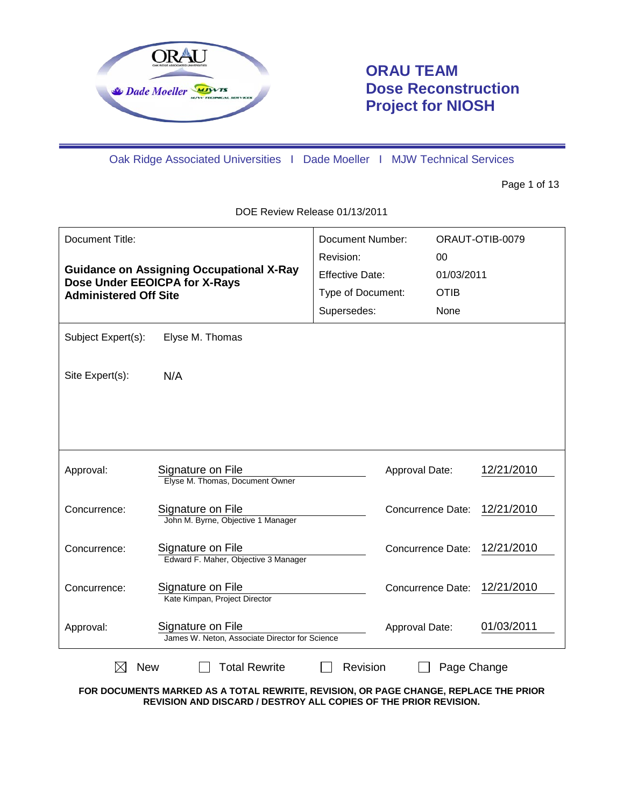

# **ORAU TEAM Dose Reconstruction Project for NIOSH**

Oak Ridge Associated Universities I Dade Moeller I MJW Technical Services

Page 1 of 13

DOE Review Release 01/13/2011

| Document Title:<br><b>Guidance on Assigning Occupational X-Ray</b><br>Dose Under EEOICPA for X-Rays<br><b>Administered Off Site</b> |                                                                     | <b>Document Number:</b><br>Revision:<br><b>Effective Date:</b><br>Type of Document:<br>Supersedes: | 00<br><b>OTIB</b><br>None | ORAUT-OTIB-0079<br>01/03/2011 |  |
|-------------------------------------------------------------------------------------------------------------------------------------|---------------------------------------------------------------------|----------------------------------------------------------------------------------------------------|---------------------------|-------------------------------|--|
| Subject Expert(s):                                                                                                                  | Elyse M. Thomas                                                     |                                                                                                    |                           |                               |  |
| Site Expert(s):                                                                                                                     | N/A                                                                 |                                                                                                    |                           |                               |  |
|                                                                                                                                     |                                                                     |                                                                                                    |                           |                               |  |
| Approval:                                                                                                                           | Signature on File<br>Elyse M. Thomas, Document Owner                |                                                                                                    | Approval Date:            | 12/21/2010                    |  |
| Concurrence:                                                                                                                        | Signature on File<br>John M. Byrne, Objective 1 Manager             |                                                                                                    | <b>Concurrence Date:</b>  | 12/21/2010                    |  |
| Concurrence:                                                                                                                        | Signature on File<br>Edward F. Maher, Objective 3 Manager           |                                                                                                    | Concurrence Date:         | 12/21/2010                    |  |
| Concurrence:                                                                                                                        | Signature on File<br>Kate Kimpan, Project Director                  |                                                                                                    | Concurrence Date:         | 12/21/2010                    |  |
| Approval:                                                                                                                           | Signature on File<br>James W. Neton, Associate Director for Science |                                                                                                    | Approval Date:            | 01/03/2011                    |  |
| <b>Total Rewrite</b><br>Revision<br><b>New</b><br>Page Change                                                                       |                                                                     |                                                                                                    |                           |                               |  |

**FOR DOCUMENTS MARKED AS A TOTAL REWRITE, REVISION, OR PAGE CHANGE, REPLACE THE PRIOR REVISION AND DISCARD / DESTROY ALL COPIES OF THE PRIOR REVISION.**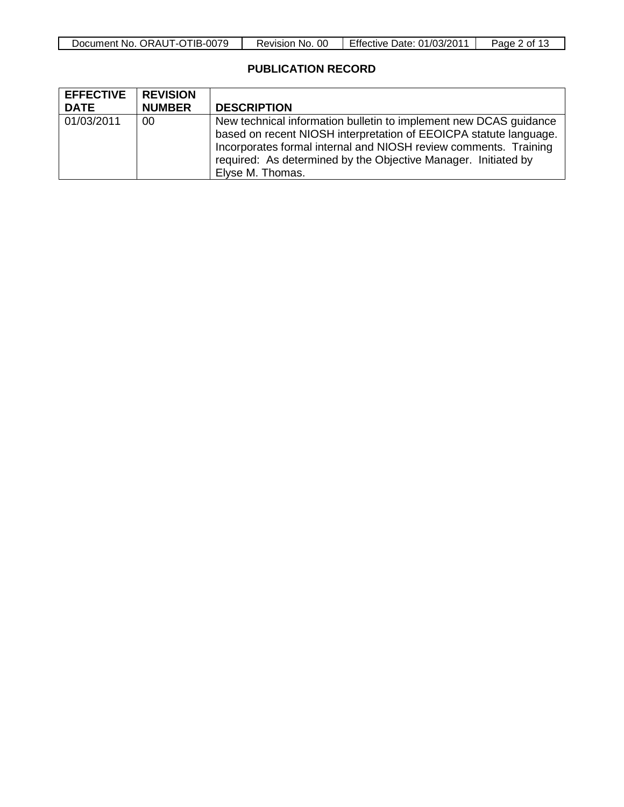| 1B-(<br>0079<br>ORAU<br>Document<br>No.<br>$\perp$<br>$\sim$ $\sim$ $\sim$ | OC<br>.No<br>Revision | Effective<br>01/03/201<br>⊃ate: | Page<br>ot. |
|----------------------------------------------------------------------------|-----------------------|---------------------------------|-------------|

## **PUBLICATION RECORD**

| <b>EFFECTIVE</b><br><b>DATE</b> | <b>REVISION</b><br><b>NUMBER</b> | <b>DESCRIPTION</b>                                                                                                                                                                                                                                                                               |
|---------------------------------|----------------------------------|--------------------------------------------------------------------------------------------------------------------------------------------------------------------------------------------------------------------------------------------------------------------------------------------------|
| 01/03/2011                      | 00                               | New technical information bulletin to implement new DCAS guidance<br>based on recent NIOSH interpretation of EEOICPA statute language.<br>Incorporates formal internal and NIOSH review comments. Training<br>required: As determined by the Objective Manager. Initiated by<br>Elyse M. Thomas. |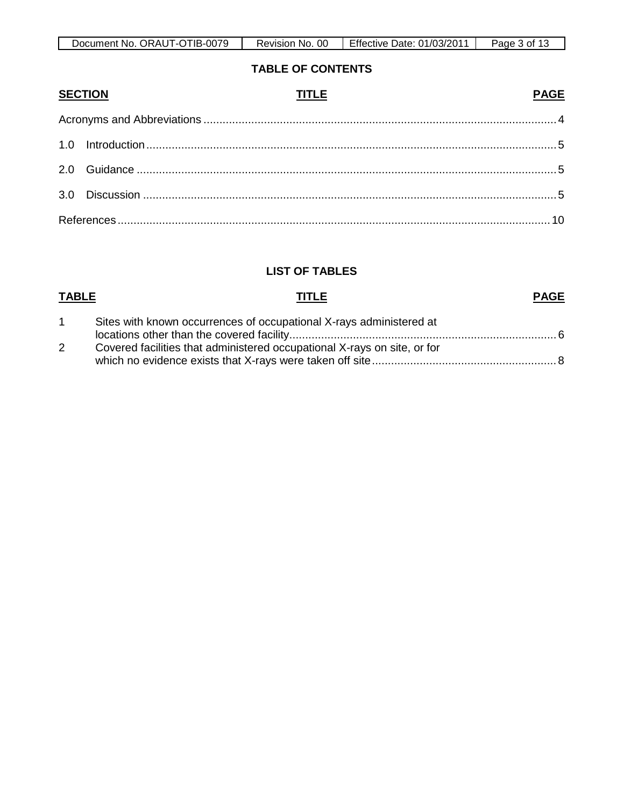| Document No. ORAUT-OTIB-0079 | -OC<br>Revision No. | Effective Date: 01/03/2011 | 3 of<br>Page<br>ี∪ |
|------------------------------|---------------------|----------------------------|--------------------|

### **TABLE OF CONTENTS**

| <b>SECTION</b> | <b>TITLE</b> | <b>PAGE</b> |
|----------------|--------------|-------------|
|                |              |             |
|                |              |             |
|                |              |             |
|                |              |             |
|                |              |             |

## **LIST OF TABLES**

### **TABLE TITLE** 1 Sites with known occurrences of occupational X-rays administered at locations other than the covered facility.................................................................................... 6 **PAGE** 2 Covered facilities that administered occupational X-rays on site, or for which no evidence exists that X-rays were taken off site.......................................................... 8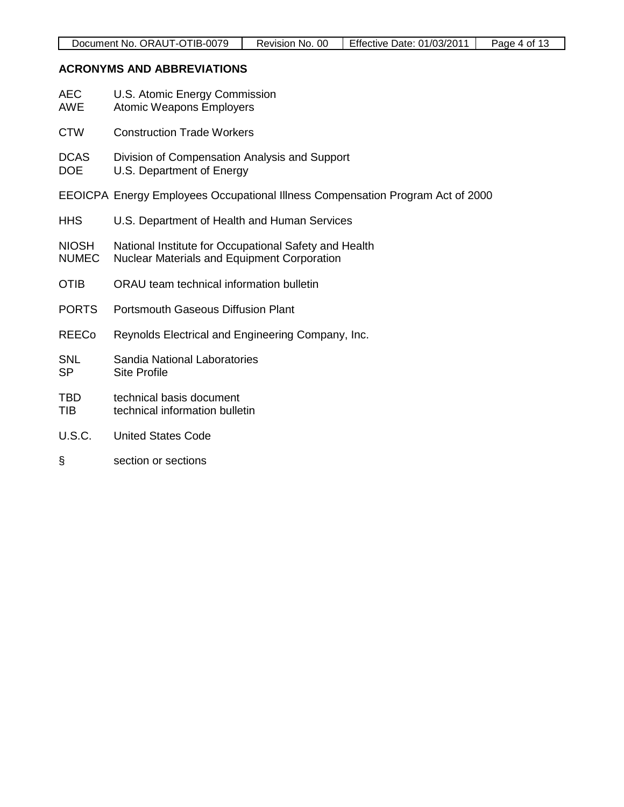## **ACRONYMS AND ABBREVIATIONS**

| <b>AEC</b><br><b>AWE</b>     | U.S. Atomic Energy Commission<br><b>Atomic Weapons Employers</b>                                            |
|------------------------------|-------------------------------------------------------------------------------------------------------------|
| <b>CTW</b>                   | <b>Construction Trade Workers</b>                                                                           |
| <b>DCAS</b><br><b>DOE</b>    | Division of Compensation Analysis and Support<br>U.S. Department of Energy                                  |
|                              | EEOICPA Energy Employees Occupational Illness Compensation Program Act of 2000                              |
| <b>HHS</b>                   | U.S. Department of Health and Human Services                                                                |
| <b>NIOSH</b><br><b>NUMEC</b> | National Institute for Occupational Safety and Health<br><b>Nuclear Materials and Equipment Corporation</b> |
| <b>OTIB</b>                  | ORAU team technical information bulletin                                                                    |
| <b>PORTS</b>                 | <b>Portsmouth Gaseous Diffusion Plant</b>                                                                   |
| <b>REECo</b>                 | Reynolds Electrical and Engineering Company, Inc.                                                           |
| <b>SNL</b><br><b>SP</b>      | Sandia National Laboratories<br><b>Site Profile</b>                                                         |
| <b>TBD</b><br><b>TIB</b>     | technical basis document<br>technical information bulletin                                                  |
| U.S.C.                       | <b>United States Code</b>                                                                                   |
| §                            | section or sections                                                                                         |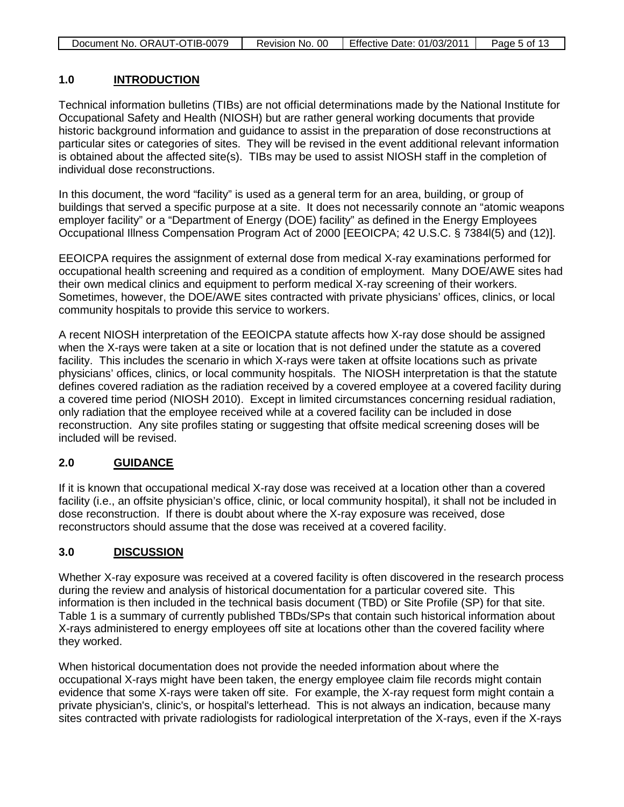| Document No. ORAUT-OTIB-0079 | Revision No. 00 | Effective Date: 01/03/2011 | Page 5 of 13 |
|------------------------------|-----------------|----------------------------|--------------|

#### **1.0 INTRODUCTION**

Technical information bulletins (TIBs) are not official determinations made by the National Institute for Occupational Safety and Health (NIOSH) but are rather general working documents that provide historic background information and guidance to assist in the preparation of dose reconstructions at particular sites or categories of sites. They will be revised in the event additional relevant information is obtained about the affected site(s). TIBs may be used to assist NIOSH staff in the completion of individual dose reconstructions.

In this document, the word "facility" is used as a general term for an area, building, or group of buildings that served a specific purpose at a site. It does not necessarily connote an "atomic weapons employer facility" or a "Department of Energy (DOE) facility" as defined in the Energy Employees Occupational Illness Compensation Program Act of 2000 [EEOICPA; 42 U.S.C. § 7384l(5) and (12)].

EEOICPA requires the assignment of external dose from medical X-ray examinations performed for occupational health screening and required as a condition of employment. Many DOE/AWE sites had their own medical clinics and equipment to perform medical X-ray screening of their workers. Sometimes, however, the DOE/AWE sites contracted with private physicians' offices, clinics, or local community hospitals to provide this service to workers.

A recent NIOSH interpretation of the EEOICPA statute affects how X-ray dose should be assigned when the X-rays were taken at a site or location that is not defined under the statute as a covered facility. This includes the scenario in which X-rays were taken at offsite locations such as private physicians' offices, clinics, or local community hospitals. The NIOSH interpretation is that the statute defines covered radiation as the radiation received by a covered employee at a covered facility during a covered time period (NIOSH 2010). Except in limited circumstances concerning residual radiation, only radiation that the employee received while at a covered facility can be included in dose reconstruction. Any site profiles stating or suggesting that offsite medical screening doses will be included will be revised.

#### **2.0 GUIDANCE**

If it is known that occupational medical X-ray dose was received at a location other than a covered facility (i.e., an offsite physician's office, clinic, or local community hospital), it shall not be included in dose reconstruction. If there is doubt about where the X-ray exposure was received, dose reconstructors should assume that the dose was received at a covered facility.

#### **3.0 DISCUSSION**

Whether X-ray exposure was received at a covered facility is often discovered in the research process during the review and analysis of historical documentation for a particular covered site. This information is then included in the technical basis document (TBD) or Site Profile (SP) for that site. Table 1 is a summary of currently published TBDs/SPs that contain such historical information about X-rays administered to energy employees off site at locations other than the covered facility where they worked.

When historical documentation does not provide the needed information about where the occupational X-rays might have been taken, the energy employee claim file records might contain evidence that some X-rays were taken off site. For example, the X-ray request form might contain a private physician's, clinic's, or hospital's letterhead. This is not always an indication, because many sites contracted with private radiologists for radiological interpretation of the X-rays, even if the X-rays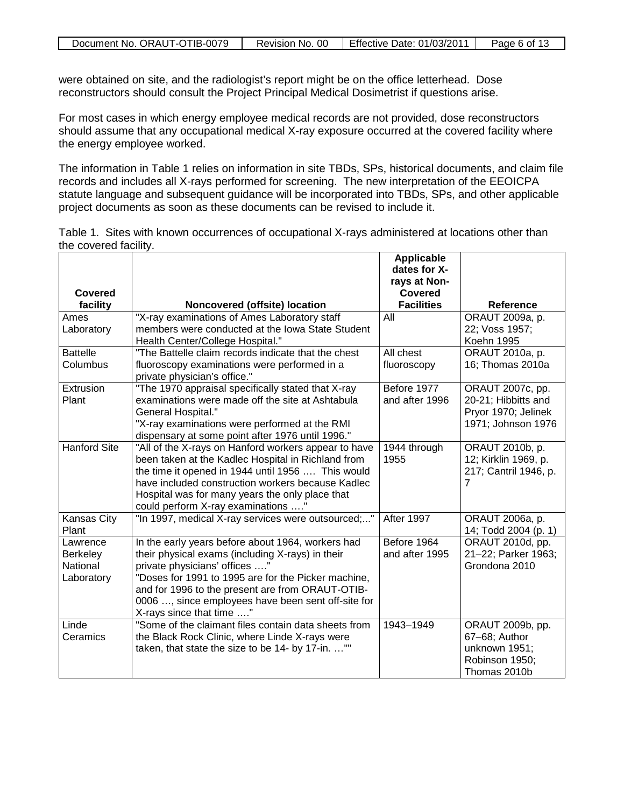| Document No. ORAUT-OTIB-0079 | Revision No. 00 | Effective Date: 01/03/2011 | Page 6 of 13 |
|------------------------------|-----------------|----------------------------|--------------|

were obtained on site, and the radiologist's report might be on the office letterhead. Dose reconstructors should consult the Project Principal Medical Dosimetrist if questions arise.

For most cases in which energy employee medical records are not provided, dose reconstructors should assume that any occupational medical X-ray exposure occurred at the covered facility where the energy employee worked.

The information in Table 1 relies on information in site TBDs, SPs, historical documents, and claim file records and includes all X-rays performed for screening. The new interpretation of the EEOICPA statute language and subsequent guidance will be incorporated into TBDs, SPs, and other applicable project documents as soon as these documents can be revised to include it.

| Table 1. Sites with known occurrences of occupational X-rays administered at locations other than |  |  |  |
|---------------------------------------------------------------------------------------------------|--|--|--|
| the covered facility.                                                                             |  |  |  |

|                                                       |                                                                                                                                                                                                                                                                                                                                     | <b>Applicable</b><br>dates for X- |                                                                                      |
|-------------------------------------------------------|-------------------------------------------------------------------------------------------------------------------------------------------------------------------------------------------------------------------------------------------------------------------------------------------------------------------------------------|-----------------------------------|--------------------------------------------------------------------------------------|
| Covered                                               |                                                                                                                                                                                                                                                                                                                                     | rays at Non-<br><b>Covered</b>    |                                                                                      |
| facility                                              | Noncovered (offsite) location                                                                                                                                                                                                                                                                                                       | <b>Facilities</b>                 | <b>Reference</b>                                                                     |
| Ames<br>Laboratory                                    | "X-ray examinations of Ames Laboratory staff<br>members were conducted at the Iowa State Student<br>Health Center/College Hospital."                                                                                                                                                                                                | All                               | ORAUT 2009a, p.<br>22; Voss 1957;<br>Koehn 1995                                      |
| <b>Battelle</b><br>Columbus                           | "The Battelle claim records indicate that the chest<br>fluoroscopy examinations were performed in a<br>private physician's office."                                                                                                                                                                                                 | All chest<br>fluoroscopy          | ORAUT 2010a, p.<br>16; Thomas 2010a                                                  |
| Extrusion<br>Plant                                    | "The 1970 appraisal specifically stated that X-ray<br>examinations were made off the site at Ashtabula<br>General Hospital."<br>"X-ray examinations were performed at the RMI<br>dispensary at some point after 1976 until 1996."                                                                                                   | Before 1977<br>and after 1996     | ORAUT 2007c, pp.<br>20-21; Hibbitts and<br>Pryor 1970; Jelinek<br>1971; Johnson 1976 |
| <b>Hanford Site</b>                                   | "All of the X-rays on Hanford workers appear to have<br>been taken at the Kadlec Hospital in Richland from<br>the time it opened in 1944 until 1956  This would<br>have included construction workers because Kadlec<br>Hospital was for many years the only place that<br>could perform X-ray examinations "                       | 1944 through<br>1955              | ORAUT 2010b, p.<br>12; Kirklin 1969, p.<br>217; Cantril 1946, p.<br>7                |
| Kansas City<br>Plant                                  | "In 1997, medical X-ray services were outsourced;"                                                                                                                                                                                                                                                                                  | After 1997                        | ORAUT 2006a, p.<br>14; Todd 2004 (p. 1)                                              |
| Lawrence<br><b>Berkeley</b><br>National<br>Laboratory | In the early years before about 1964, workers had<br>their physical exams (including X-rays) in their<br>private physicians' offices "<br>"Doses for 1991 to 1995 are for the Picker machine,<br>and for 1996 to the present are from ORAUT-OTIB-<br>0006 , since employees have been sent off-site for<br>X-rays since that time " | Before 1964<br>and after 1995     | ORAUT 2010d, pp.<br>21-22; Parker 1963;<br>Grondona 2010                             |
| Linde<br>Ceramics                                     | "Some of the claimant files contain data sheets from<br>the Black Rock Clinic, where Linde X-rays were<br>taken, that state the size to be 14- by 17-in. ""                                                                                                                                                                         | 1943-1949                         | ORAUT 2009b, pp.<br>67-68; Author<br>unknown 1951;<br>Robinson 1950;<br>Thomas 2010b |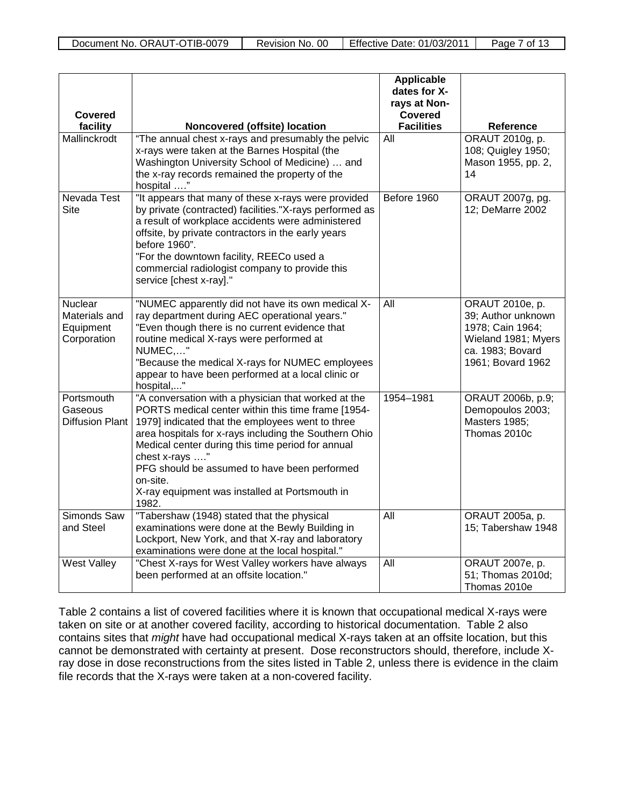| <b>Covered</b><br>facility                           | Noncovered (offsite) location                                                                                                                                                                                                                                                                                                                                                                                        | <b>Applicable</b><br>dates for X-<br>rays at Non-<br><b>Covered</b><br><b>Facilities</b> | <b>Reference</b>                                                                                                          |
|------------------------------------------------------|----------------------------------------------------------------------------------------------------------------------------------------------------------------------------------------------------------------------------------------------------------------------------------------------------------------------------------------------------------------------------------------------------------------------|------------------------------------------------------------------------------------------|---------------------------------------------------------------------------------------------------------------------------|
| Mallinckrodt                                         | "The annual chest x-rays and presumably the pelvic<br>x-rays were taken at the Barnes Hospital (the<br>Washington University School of Medicine)  and<br>the x-ray records remained the property of the<br>hospital "                                                                                                                                                                                                | $\overline{All}$                                                                         | ORAUT 2010g, p.<br>108; Quigley 1950;<br>Mason 1955, pp. 2,<br>14                                                         |
| Nevada Test<br><b>Site</b>                           | "It appears that many of these x-rays were provided<br>by private (contracted) facilities."X-rays performed as<br>a result of workplace accidents were administered<br>offsite, by private contractors in the early years<br>before 1960".<br>"For the downtown facility, REECo used a<br>commercial radiologist company to provide this<br>service [chest x-ray]."                                                  | Before 1960                                                                              | ORAUT 2007g, pg.<br>12; DeMarre 2002                                                                                      |
| Nuclear<br>Materials and<br>Equipment<br>Corporation | "NUMEC apparently did not have its own medical X-<br>ray department during AEC operational years."<br>"Even though there is no current evidence that<br>routine medical X-rays were performed at<br>NUMEC,"<br>"Because the medical X-rays for NUMEC employees<br>appear to have been performed at a local clinic or<br>hospital,"                                                                                   | All                                                                                      | ORAUT 2010e, p.<br>39; Author unknown<br>1978; Cain 1964;<br>Wieland 1981; Myers<br>ca. 1983; Bovard<br>1961; Bovard 1962 |
| Portsmouth<br>Gaseous<br><b>Diffusion Plant</b>      | "A conversation with a physician that worked at the<br>PORTS medical center within this time frame [1954-<br>1979] indicated that the employees went to three<br>area hospitals for x-rays including the Southern Ohio<br>Medical center during this time period for annual<br>chest x-rays "<br>PFG should be assumed to have been performed<br>on-site.<br>X-ray equipment was installed at Portsmouth in<br>1982. | 1954-1981                                                                                | ORAUT 2006b, p.9;<br>Demopoulos 2003;<br>Masters 1985;<br>Thomas 2010c                                                    |
| Simonds Saw<br>and Steel                             | "Tabershaw (1948) stated that the physical<br>examinations were done at the Bewly Building in<br>Lockport, New York, and that X-ray and laboratory<br>examinations were done at the local hospital."                                                                                                                                                                                                                 | $\overline{All}$                                                                         | ORAUT 2005a, p.<br>15; Tabershaw 1948                                                                                     |
| West Valley                                          | "Chest X-rays for West Valley workers have always<br>been performed at an offsite location."                                                                                                                                                                                                                                                                                                                         | $\overline{All}$                                                                         | ORAUT 2007e, p.<br>51; Thomas 2010d;<br>Thomas 2010e                                                                      |

Table 2 contains a list of covered facilities where it is known that occupational medical X-rays were taken on site or at another covered facility, according to historical documentation. Table 2 also contains sites that *might* have had occupational medical X-rays taken at an offsite location, but this cannot be demonstrated with certainty at present. Dose reconstructors should, therefore, include Xray dose in dose reconstructions from the sites listed in Table 2, unless there is evidence in the claim file records that the X-rays were taken at a non-covered facility.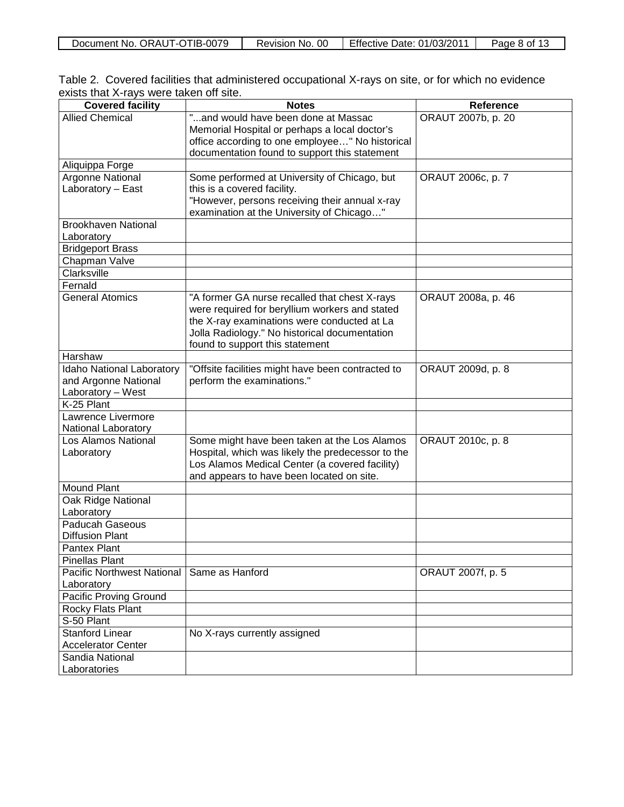| $-0079$<br>ORAU<br>Document No.<br>11 IR.<br>-0 | 00<br>Revision<br>No. | Effective<br>01/03/2011<br>Date: | 8 of<br>Page |
|-------------------------------------------------|-----------------------|----------------------------------|--------------|
| . .                                             |                       |                                  | . .          |
|                                                 |                       |                                  |              |

| Table 2. Covered facilities that administered occupational X-rays on site, or for which no evidence |  |  |
|-----------------------------------------------------------------------------------------------------|--|--|
| exists that X-rays were taken off site.                                                             |  |  |

| <b>Covered facility</b>           | <b>Notes</b>                                                                                | <b>Reference</b>   |
|-----------------------------------|---------------------------------------------------------------------------------------------|--------------------|
| <b>Allied Chemical</b>            | "and would have been done at Massac                                                         | ORAUT 2007b, p. 20 |
|                                   | Memorial Hospital or perhaps a local doctor's                                               |                    |
|                                   | office according to one employee" No historical                                             |                    |
|                                   | documentation found to support this statement                                               |                    |
| Aliquippa Forge                   |                                                                                             |                    |
| Argonne National                  | Some performed at University of Chicago, but                                                | ORAUT 2006c, p. 7  |
| Laboratory - East                 | this is a covered facility.                                                                 |                    |
|                                   | "However, persons receiving their annual x-ray<br>examination at the University of Chicago" |                    |
| <b>Brookhaven National</b>        |                                                                                             |                    |
| Laboratory                        |                                                                                             |                    |
| <b>Bridgeport Brass</b>           |                                                                                             |                    |
| Chapman Valve                     |                                                                                             |                    |
| Clarksville                       |                                                                                             |                    |
| Fernald                           |                                                                                             |                    |
| <b>General Atomics</b>            | "A former GA nurse recalled that chest X-rays                                               | ORAUT 2008a, p. 46 |
|                                   | were required for beryllium workers and stated                                              |                    |
|                                   | the X-ray examinations were conducted at La                                                 |                    |
|                                   | Jolla Radiology." No historical documentation                                               |                    |
|                                   | found to support this statement                                                             |                    |
| Harshaw                           |                                                                                             |                    |
| Idaho National Laboratory         | "Offsite facilities might have been contracted to                                           | ORAUT 2009d, p. 8  |
| and Argonne National              | perform the examinations."                                                                  |                    |
| Laboratory - West                 |                                                                                             |                    |
| K-25 Plant                        |                                                                                             |                    |
| Lawrence Livermore                |                                                                                             |                    |
| National Laboratory               |                                                                                             |                    |
| Los Alamos National               | Some might have been taken at the Los Alamos                                                | ORAUT 2010c, p. 8  |
| Laboratory                        | Hospital, which was likely the predecessor to the                                           |                    |
|                                   | Los Alamos Medical Center (a covered facility)                                              |                    |
|                                   | and appears to have been located on site.                                                   |                    |
| <b>Mound Plant</b>                |                                                                                             |                    |
| Oak Ridge National<br>Laboratory  |                                                                                             |                    |
| Paducah Gaseous                   |                                                                                             |                    |
| <b>Diffusion Plant</b>            |                                                                                             |                    |
| <b>Pantex Plant</b>               |                                                                                             |                    |
| <b>Pinellas Plant</b>             |                                                                                             |                    |
| <b>Pacific Northwest National</b> | Same as Hanford                                                                             | ORAUT 2007f, p. 5  |
| Laboratory                        |                                                                                             |                    |
| <b>Pacific Proving Ground</b>     |                                                                                             |                    |
| Rocky Flats Plant                 |                                                                                             |                    |
| S-50 Plant                        |                                                                                             |                    |
| <b>Stanford Linear</b>            | No X-rays currently assigned                                                                |                    |
| <b>Accelerator Center</b>         |                                                                                             |                    |
| Sandia National                   |                                                                                             |                    |
| Laboratories                      |                                                                                             |                    |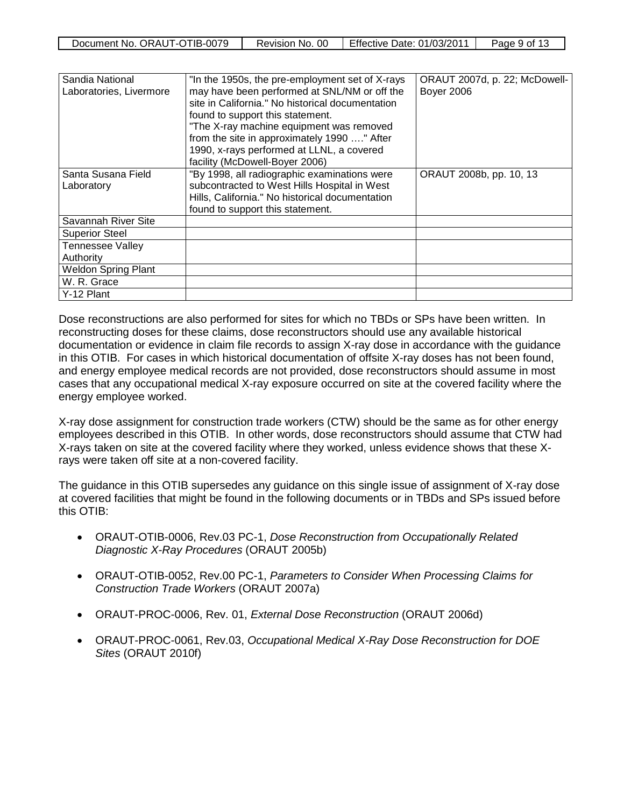| Document No. ORAUT-OTIB-0079 | Revision No. 00 | Effective Date: $01/03/2011$ | Page 9 of 13 |
|------------------------------|-----------------|------------------------------|--------------|
|                              |                 |                              |              |

| Sandia National            | "In the 1950s, the pre-employment set of X-rays" | ORAUT 2007d, p. 22; McDowell- |
|----------------------------|--------------------------------------------------|-------------------------------|
| Laboratories, Livermore    | may have been performed at SNL/NM or off the     | <b>Boyer 2006</b>             |
|                            | site in California." No historical documentation |                               |
|                            | found to support this statement.                 |                               |
|                            | "The X-ray machine equipment was removed         |                               |
|                            | from the site in approximately 1990 " After      |                               |
|                            | 1990, x-rays performed at LLNL, a covered        |                               |
|                            | facility (McDowell-Boyer 2006)                   |                               |
| Santa Susana Field         | "By 1998, all radiographic examinations were     | ORAUT 2008b, pp. 10, 13       |
| Laboratory                 | subcontracted to West Hills Hospital in West     |                               |
|                            | Hills, California." No historical documentation  |                               |
|                            | found to support this statement.                 |                               |
| Savannah River Site        |                                                  |                               |
| <b>Superior Steel</b>      |                                                  |                               |
| <b>Tennessee Valley</b>    |                                                  |                               |
| Authority                  |                                                  |                               |
| <b>Weldon Spring Plant</b> |                                                  |                               |
| W. R. Grace                |                                                  |                               |
| Y-12 Plant                 |                                                  |                               |

Dose reconstructions are also performed for sites for which no TBDs or SPs have been written. In reconstructing doses for these claims, dose reconstructors should use any available historical documentation or evidence in claim file records to assign X-ray dose in accordance with the guidance in this OTIB. For cases in which historical documentation of offsite X-ray doses has not been found, and energy employee medical records are not provided, dose reconstructors should assume in most cases that any occupational medical X-ray exposure occurred on site at the covered facility where the energy employee worked.

X-ray dose assignment for construction trade workers (CTW) should be the same as for other energy employees described in this OTIB. In other words, dose reconstructors should assume that CTW had X-rays taken on site at the covered facility where they worked, unless evidence shows that these Xrays were taken off site at a non-covered facility.

The guidance in this OTIB supersedes any guidance on this single issue of assignment of X-ray dose at covered facilities that might be found in the following documents or in TBDs and SPs issued before this OTIB:

- ORAUT-OTIB-0006, Rev.03 PC-1, *Dose Reconstruction from Occupationally Related Diagnostic X-Ray Procedures* (ORAUT 2005b)
- ORAUT-OTIB-0052, Rev.00 PC-1, *Parameters to Consider When Processing Claims for Construction Trade Workers* (ORAUT 2007a)
- ORAUT-PROC-0006, Rev. 01, *External Dose Reconstruction* (ORAUT 2006d)
- ORAUT-PROC-0061, Rev.03, *Occupational Medical X-Ray Dose Reconstruction for DOE Sites* (ORAUT 2010f)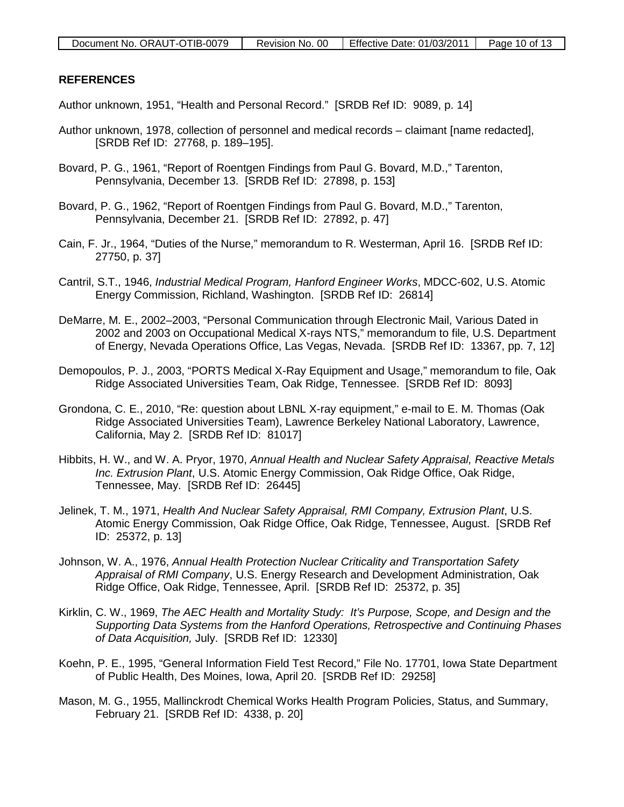### **REFERENCES**

Author unknown, 1951, "Health and Personal Record." [SRDB Ref ID: 9089, p. 14]

- Author unknown, 1978, collection of personnel and medical records claimant [name redacted], [SRDB Ref ID: 27768, p. 189–195].
- Bovard, P. G., 1961, "Report of Roentgen Findings from Paul G. Bovard, M.D.," Tarenton, Pennsylvania, December 13. [SRDB Ref ID: 27898, p. 153]
- Bovard, P. G., 1962, "Report of Roentgen Findings from Paul G. Bovard, M.D.," Tarenton, Pennsylvania, December 21. [SRDB Ref ID: 27892, p. 47]
- Cain, F. Jr., 1964, "Duties of the Nurse," memorandum to R. Westerman, April 16. [SRDB Ref ID: 27750, p. 37]
- Cantril, S.T., 1946, *Industrial Medical Program, Hanford Engineer Works*, MDCC-602, U.S. Atomic Energy Commission, Richland, Washington. [SRDB Ref ID: 26814]
- DeMarre, M. E., 2002–2003, "Personal Communication through Electronic Mail, Various Dated in 2002 and 2003 on Occupational Medical X-rays NTS," memorandum to file, U.S. Department of Energy, Nevada Operations Office, Las Vegas, Nevada. [SRDB Ref ID: 13367, pp. 7, 12]
- Demopoulos, P. J., 2003, "PORTS Medical X-Ray Equipment and Usage," memorandum to file, Oak Ridge Associated Universities Team, Oak Ridge, Tennessee. [SRDB Ref ID: 8093]
- Grondona, C. E., 2010, "Re: question about LBNL X-ray equipment," e-mail to E. M. Thomas (Oak Ridge Associated Universities Team), Lawrence Berkeley National Laboratory, Lawrence, California, May 2. [SRDB Ref ID: 81017]
- Hibbits, H. W., and W. A. Pryor, 1970, *Annual Health and Nuclear Safety Appraisal, Reactive Metals Inc. Extrusion Plant*, U.S. Atomic Energy Commission, Oak Ridge Office, Oak Ridge, Tennessee, May. [SRDB Ref ID: 26445]
- Jelinek, T. M., 1971, *Health And Nuclear Safety Appraisal, RMI Company, Extrusion Plant*, U.S. Atomic Energy Commission, Oak Ridge Office, Oak Ridge, Tennessee, August. [SRDB Ref ID: 25372, p. 13]
- Johnson, W. A., 1976, *Annual Health Protection Nuclear Criticality and Transportation Safety Appraisal of RMI Company*, U.S. Energy Research and Development Administration, Oak Ridge Office, Oak Ridge, Tennessee, April. [SRDB Ref ID: 25372, p. 35]
- Kirklin, C. W., 1969, *The AEC Health and Mortality Study: It's Purpose, Scope, and Design and the Supporting Data Systems from the Hanford Operations, Retrospective and Continuing Phases of Data Acquisition,* July. [SRDB Ref ID: 12330]
- Koehn, P. E., 1995, "General Information Field Test Record," File No. 17701, Iowa State Department of Public Health, Des Moines, Iowa, April 20. [SRDB Ref ID: 29258]
- Mason, M. G., 1955, Mallinckrodt Chemical Works Health Program Policies, Status, and Summary, February 21. [SRDB Ref ID: 4338, p. 20]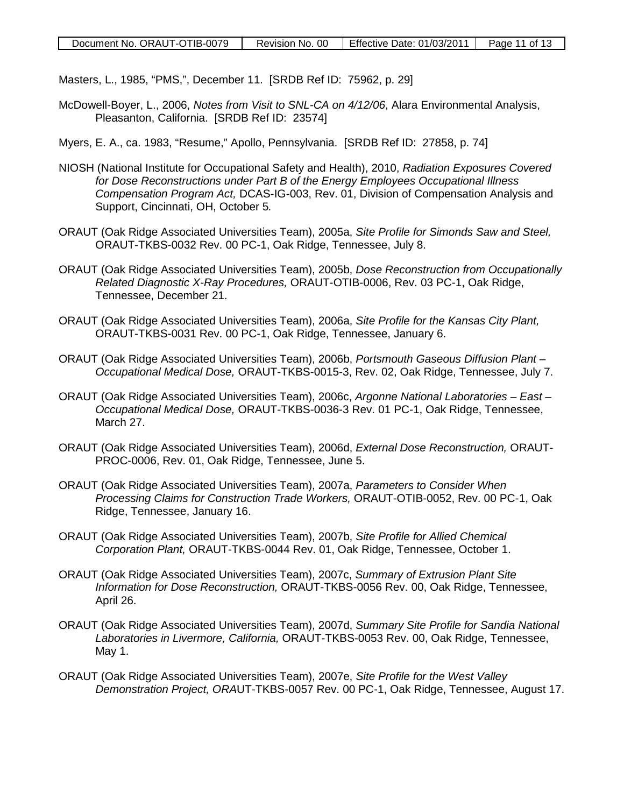Masters, L., 1985, "PMS,", December 11. [SRDB Ref ID: 75962, p. 29]

- McDowell-Boyer, L., 2006, *Notes from Visit to SNL-CA on 4/12/06*, Alara Environmental Analysis, Pleasanton, California. [SRDB Ref ID: 23574]
- Myers, E. A., ca. 1983, "Resume," Apollo, Pennsylvania. [SRDB Ref ID: 27858, p. 74]
- NIOSH (National Institute for Occupational Safety and Health), 2010, *Radiation Exposures Covered for Dose Reconstructions under Part B of the Energy Employees Occupational Illness Compensation Program Act,* DCAS-IG-003, Rev. 01, Division of Compensation Analysis and Support, Cincinnati, OH, October 5*.*
- ORAUT (Oak Ridge Associated Universities Team), 2005a, *Site Profile for Simonds Saw and Steel,*  ORAUT-TKBS-0032 Rev. 00 PC-1, Oak Ridge, Tennessee, July 8.
- ORAUT (Oak Ridge Associated Universities Team), 2005b, *Dose Reconstruction from Occupationally Related Diagnostic X-Ray Procedures,* ORAUT-OTIB-0006, Rev. 03 PC-1, Oak Ridge, Tennessee, December 21.
- ORAUT (Oak Ridge Associated Universities Team), 2006a, *Site Profile for the Kansas City Plant,*  ORAUT-TKBS-0031 Rev. 00 PC-1, Oak Ridge, Tennessee, January 6.
- ORAUT (Oak Ridge Associated Universities Team), 2006b, *Portsmouth Gaseous Diffusion Plant – Occupational Medical Dose,* ORAUT-TKBS-0015-3, Rev. 02, Oak Ridge, Tennessee, July 7.
- ORAUT (Oak Ridge Associated Universities Team), 2006c, *Argonne National Laboratories – East – Occupational Medical Dose,* ORAUT-TKBS-0036-3 Rev. 01 PC-1, Oak Ridge, Tennessee, March 27.
- ORAUT (Oak Ridge Associated Universities Team), 2006d, *External Dose Reconstruction,* ORAUT-PROC-0006, Rev. 01, Oak Ridge, Tennessee, June 5.
- ORAUT (Oak Ridge Associated Universities Team), 2007a, *Parameters to Consider When Processing Claims for Construction Trade Workers,* ORAUT-OTIB-0052, Rev. 00 PC-1, Oak Ridge, Tennessee, January 16.
- ORAUT (Oak Ridge Associated Universities Team), 2007b, *Site Profile for Allied Chemical Corporation Plant,* ORAUT-TKBS-0044 Rev. 01, Oak Ridge, Tennessee, October 1.
- ORAUT (Oak Ridge Associated Universities Team), 2007c, *Summary of Extrusion Plant Site Information for Dose Reconstruction,* ORAUT-TKBS-0056 Rev. 00, Oak Ridge, Tennessee, April 26.
- ORAUT (Oak Ridge Associated Universities Team), 2007d, *Summary Site Profile for Sandia National Laboratories in Livermore, California,* ORAUT-TKBS-0053 Rev. 00, Oak Ridge, Tennessee, May 1.
- ORAUT (Oak Ridge Associated Universities Team), 2007e, *Site Profile for the West Valley Demonstration Project, ORA*UT-TKBS-0057 Rev. 00 PC-1, Oak Ridge, Tennessee, August 17.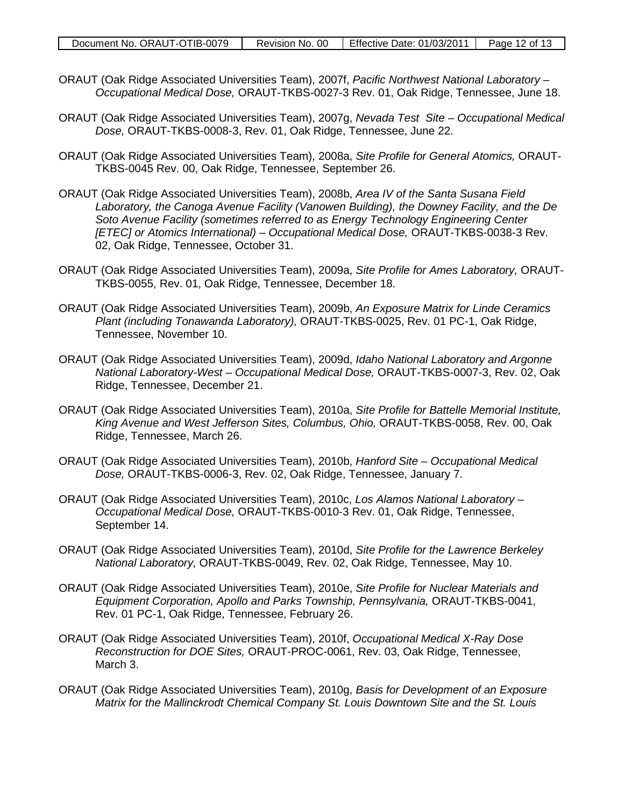- ORAUT (Oak Ridge Associated Universities Team), 2007f, *Pacific Northwest National Laboratory – Occupational Medical Dose,* ORAUT-TKBS-0027-3 Rev. 01, Oak Ridge, Tennessee, June 18.
- ORAUT (Oak Ridge Associated Universities Team), 2007g, *Nevada Test Site – Occupational Medical Dose,* ORAUT-TKBS-0008-3, Rev. 01, Oak Ridge, Tennessee, June 22.
- ORAUT (Oak Ridge Associated Universities Team), 2008a, *Site Profile for General Atomics,* ORAUT-TKBS-0045 Rev. 00, Oak Ridge, Tennessee, September 26.
- ORAUT (Oak Ridge Associated Universities Team), 2008b, *Area IV of the Santa Susana Field Laboratory, the Canoga Avenue Facility (Vanowen Building), the Downey Facility, and the De Soto Avenue Facility (sometimes referred to as Energy Technology Engineering Center [ETEC] or Atomics International) – Occupational Medical Dose,* ORAUT-TKBS-0038-3 Rev. 02, Oak Ridge, Tennessee, October 31.
- ORAUT (Oak Ridge Associated Universities Team), 2009a, *Site Profile for Ames Laboratory,* ORAUT-TKBS-0055, Rev. 01, Oak Ridge, Tennessee, December 18.
- ORAUT (Oak Ridge Associated Universities Team), 2009b, *An Exposure Matrix for Linde Ceramics Plant (including Tonawanda Laboratory),* ORAUT-TKBS-0025, Rev. 01 PC-1, Oak Ridge, Tennessee, November 10.
- ORAUT (Oak Ridge Associated Universities Team), 2009d, *Idaho National Laboratory and Argonne National Laboratory-West – Occupational Medical Dose,* ORAUT-TKBS-0007-3, Rev. 02, Oak Ridge, Tennessee, December 21.
- ORAUT (Oak Ridge Associated Universities Team), 2010a, *Site Profile for Battelle Memorial Institute, King Avenue and West Jefferson Sites, Columbus, Ohio,* ORAUT-TKBS-0058, Rev. 00, Oak Ridge, Tennessee, March 26.
- ORAUT (Oak Ridge Associated Universities Team), 2010b, *Hanford Site – Occupational Medical Dose,* ORAUT-TKBS-0006-3, Rev. 02, Oak Ridge, Tennessee, January 7.
- ORAUT (Oak Ridge Associated Universities Team), 2010c, *Los Alamos National Laboratory – Occupational Medical Dose,* ORAUT-TKBS-0010-3 Rev. 01, Oak Ridge, Tennessee, September 14.
- ORAUT (Oak Ridge Associated Universities Team), 2010d, *Site Profile for the Lawrence Berkeley National Laboratory,* ORAUT-TKBS-0049, Rev. 02, Oak Ridge, Tennessee, May 10.
- ORAUT (Oak Ridge Associated Universities Team), 2010e, *Site Profile for Nuclear Materials and Equipment Corporation, Apollo and Parks Township, Pennsylvania,* ORAUT-TKBS-0041, Rev. 01 PC-1, Oak Ridge, Tennessee, February 26.
- ORAUT (Oak Ridge Associated Universities Team), 2010f, *Occupational Medical X-Ray Dose Reconstruction for DOE Sites,* ORAUT-PROC-0061, Rev. 03, Oak Ridge, Tennessee, March 3.
- ORAUT (Oak Ridge Associated Universities Team), 2010g, *Basis for Development of an Exposure Matrix for the Mallinckrodt Chemical Company St. Louis Downtown Site and the St. Louis*